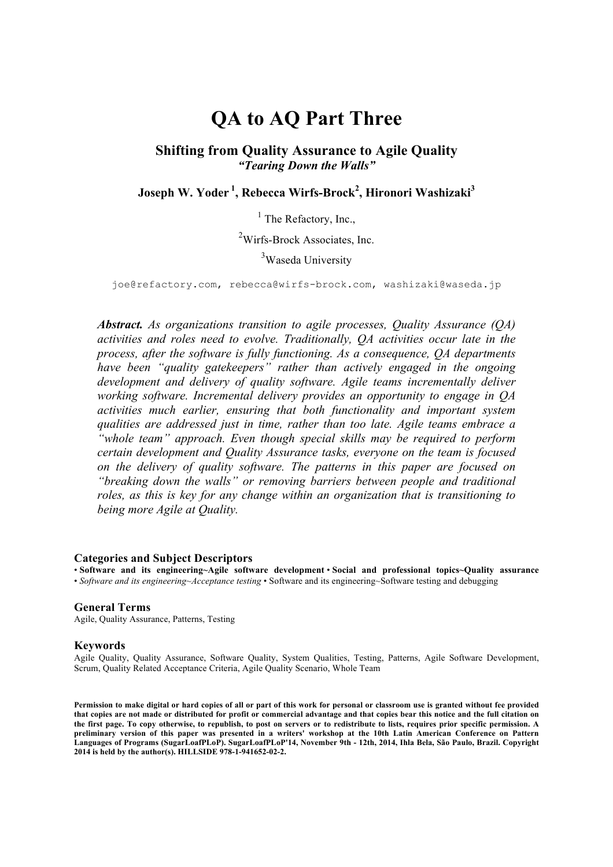# **QA to AQ Part Three**

**Shifting from Quality Assurance to Agile Quality** *"Tearing Down the Walls"*

**Joseph W. Yoder <sup>1</sup> , Rebecca Wirfs-Brock<sup>2</sup> , Hironori Washizaki3**

 $<sup>1</sup>$  The Refactory, Inc.,</sup>

<sup>2</sup>Wirfs-Brock Associates, Inc.

<sup>3</sup>Waseda University

joe@refactory.com, rebecca@wirfs-brock.com, washizaki@waseda.jp

*Abstract. As organizations transition to agile processes, Quality Assurance (QA) activities and roles need to evolve. Traditionally, QA activities occur late in the process, after the software is fully functioning. As a consequence, QA departments have been "quality gatekeepers" rather than actively engaged in the ongoing development and delivery of quality software. Agile teams incrementally deliver working software. Incremental delivery provides an opportunity to engage in QA activities much earlier, ensuring that both functionality and important system qualities are addressed just in time, rather than too late. Agile teams embrace a "whole team" approach. Even though special skills may be required to perform certain development and Quality Assurance tasks, everyone on the team is focused on the delivery of quality software. The patterns in this paper are focused on "breaking down the walls" or removing barriers between people and traditional roles, as this is key for any change within an organization that is transitioning to being more Agile at Quality.*

#### **Categories and Subject Descriptors**

• **Software and its engineering~Agile software development** • **Social and professional topics~Quality assurance** • *Software and its engineering~Acceptance testing* • Software and its engineering~Software testing and debugging

#### **General Terms**

Agile, Quality Assurance, Patterns, Testing

#### **Keywords**

Agile Quality, Quality Assurance, Software Quality, System Qualities, Testing, Patterns, Agile Software Development, Scrum, Quality Related Acceptance Criteria, Agile Quality Scenario, Whole Team

**Permission to make digital or hard copies of all or part of this work for personal or classroom use is granted without fee provided that copies are not made or distributed for profit or commercial advantage and that copies bear this notice and the full citation on the first page. To copy otherwise, to republish, to post on servers or to redistribute to lists, requires prior specific permission. A preliminary version of this paper was presented in a writers' workshop at the 10th Latin American Conference on Pattern Languages of Programs (SugarLoafPLoP). SugarLoafPLoP'14, November 9th - 12th, 2014, Ihla Bela, São Paulo, Brazil. Copyright 2014 is held by the author(s). HILLSIDE 978-1-941652-02-2.**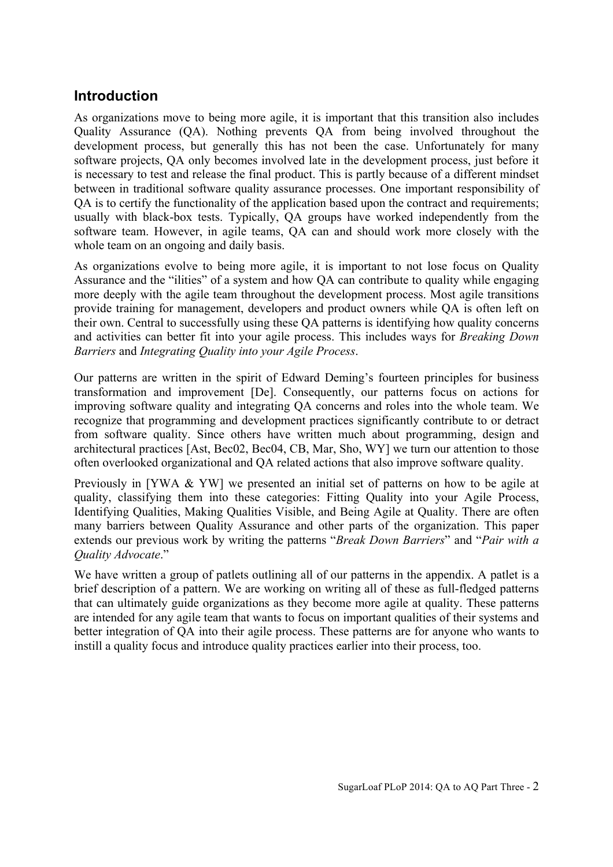### **Introduction**

As organizations move to being more agile, it is important that this transition also includes Quality Assurance (QA). Nothing prevents QA from being involved throughout the development process, but generally this has not been the case. Unfortunately for many software projects, QA only becomes involved late in the development process, just before it is necessary to test and release the final product. This is partly because of a different mindset between in traditional software quality assurance processes. One important responsibility of QA is to certify the functionality of the application based upon the contract and requirements; usually with black-box tests. Typically, QA groups have worked independently from the software team. However, in agile teams, QA can and should work more closely with the whole team on an ongoing and daily basis.

As organizations evolve to being more agile, it is important to not lose focus on Quality Assurance and the "ilities" of a system and how QA can contribute to quality while engaging more deeply with the agile team throughout the development process. Most agile transitions provide training for management, developers and product owners while QA is often left on their own. Central to successfully using these QA patterns is identifying how quality concerns and activities can better fit into your agile process. This includes ways for *Breaking Down Barriers* and *Integrating Quality into your Agile Process*.

Our patterns are written in the spirit of Edward Deming's fourteen principles for business transformation and improvement [De]. Consequently, our patterns focus on actions for improving software quality and integrating QA concerns and roles into the whole team. We recognize that programming and development practices significantly contribute to or detract from software quality. Since others have written much about programming, design and architectural practices [Ast, Bec02, Bec04, CB, Mar, Sho, WY] we turn our attention to those often overlooked organizational and QA related actions that also improve software quality.

Previously in [YWA & YW] we presented an initial set of patterns on how to be agile at quality, classifying them into these categories: Fitting Quality into your Agile Process, Identifying Qualities, Making Qualities Visible, and Being Agile at Quality. There are often many barriers between Quality Assurance and other parts of the organization. This paper extends our previous work by writing the patterns "*Break Down Barriers*" and "*Pair with a Quality Advocate*."

We have written a group of patlets outlining all of our patterns in the appendix. A patlet is a brief description of a pattern. We are working on writing all of these as full-fledged patterns that can ultimately guide organizations as they become more agile at quality. These patterns are intended for any agile team that wants to focus on important qualities of their systems and better integration of QA into their agile process. These patterns are for anyone who wants to instill a quality focus and introduce quality practices earlier into their process, too.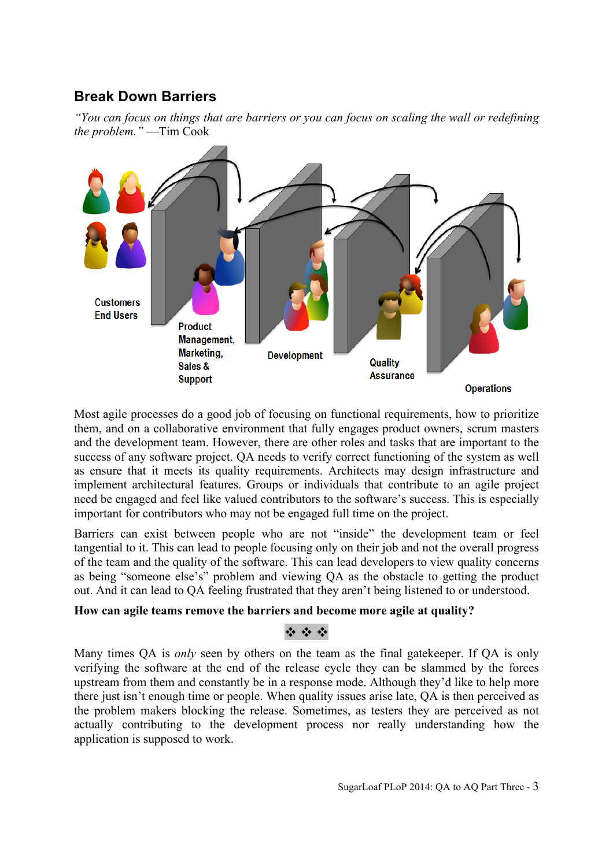### **Break Down Barriers**

*"You can focus on things that are barriers or you can focus on scaling the wall or redefining the problem."* —Tim Cook



Most agile processes do a good job of focusing on functional requirements, how to prioritize them, and on a collaborative environment that fully engages product owners, scrum masters and the development team. However, there are other roles and tasks that are important to the success of any software project. QA needs to verify correct functioning of the system as well as ensure that it meets its quality requirements. Architects may design infrastructure and implement architectural features. Groups or individuals that contribute to an agile project need be engaged and feel like valued contributors to the software's success. This is especially important for contributors who may not be engaged full time on the project.

Barriers can exist between people who are not "inside" the development team or feel tangential to it. This can lead to people focusing only on their job and not the overall progress of the team and the quality of the software. This can lead developers to view quality concerns as being "someone else's" problem and viewing QA as the obstacle to getting the product out. And it can lead to QA feeling frustrated that they aren't being listened to or understood.

#### **How can agile teams remove the barriers and become more agile at quality?**

#### \* \* \*

Many times QA is *only* seen by others on the team as the final gatekeeper. If QA is only verifying the software at the end of the release cycle they can be slammed by the forces upstream from them and constantly be in a response mode. Although they'd like to help more there just isn't enough time or people. When quality issues arise late, QA is then perceived as the problem makers blocking the release. Sometimes, as testers they are perceived as not actually contributing to the development process nor really understanding how the application is supposed to work.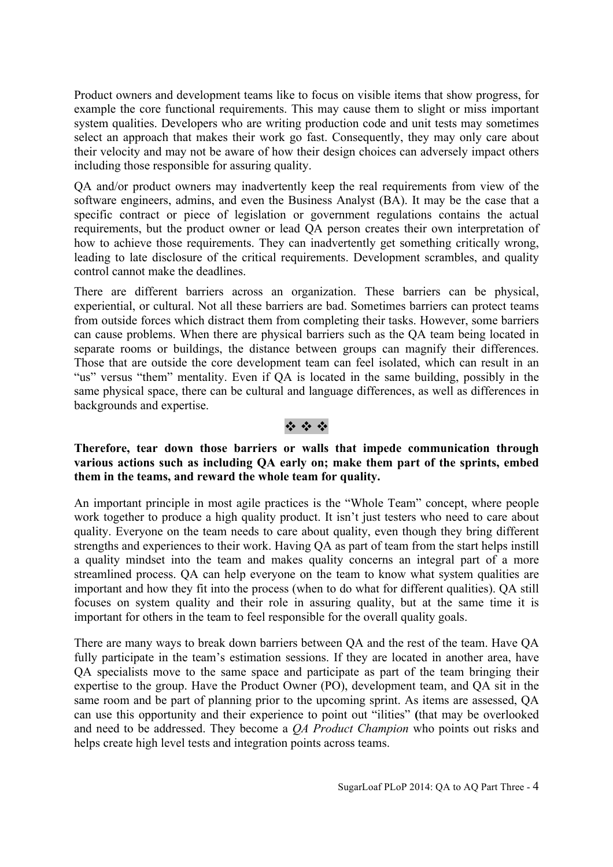Product owners and development teams like to focus on visible items that show progress, for example the core functional requirements. This may cause them to slight or miss important system qualities. Developers who are writing production code and unit tests may sometimes select an approach that makes their work go fast. Consequently, they may only care about their velocity and may not be aware of how their design choices can adversely impact others including those responsible for assuring quality.

QA and/or product owners may inadvertently keep the real requirements from view of the software engineers, admins, and even the Business Analyst (BA). It may be the case that a specific contract or piece of legislation or government regulations contains the actual requirements, but the product owner or lead QA person creates their own interpretation of how to achieve those requirements. They can inadvertently get something critically wrong, leading to late disclosure of the critical requirements. Development scrambles, and quality control cannot make the deadlines.

There are different barriers across an organization. These barriers can be physical, experiential, or cultural. Not all these barriers are bad. Sometimes barriers can protect teams from outside forces which distract them from completing their tasks. However, some barriers can cause problems. When there are physical barriers such as the QA team being located in separate rooms or buildings, the distance between groups can magnify their differences. Those that are outside the core development team can feel isolated, which can result in an "us" versus "them" mentality. Even if QA is located in the same building, possibly in the same physical space, there can be cultural and language differences, as well as differences in backgrounds and expertise.

### $\ddot{\phi}$   $\ddot{\phi}$   $\ddot{\phi}$

#### **Therefore, tear down those barriers or walls that impede communication through various actions such as including QA early on; make them part of the sprints, embed them in the teams, and reward the whole team for quality.**

An important principle in most agile practices is the "Whole Team" concept, where people work together to produce a high quality product. It isn't just testers who need to care about quality. Everyone on the team needs to care about quality, even though they bring different strengths and experiences to their work. Having QA as part of team from the start helps instill a quality mindset into the team and makes quality concerns an integral part of a more streamlined process. QA can help everyone on the team to know what system qualities are important and how they fit into the process (when to do what for different qualities). QA still focuses on system quality and their role in assuring quality, but at the same time it is important for others in the team to feel responsible for the overall quality goals.

There are many ways to break down barriers between QA and the rest of the team. Have QA fully participate in the team's estimation sessions. If they are located in another area, have QA specialists move to the same space and participate as part of the team bringing their expertise to the group. Have the Product Owner (PO), development team, and QA sit in the same room and be part of planning prior to the upcoming sprint. As items are assessed, QA can use this opportunity and their experience to point out "ilities" **(**that may be overlooked and need to be addressed. They become a *QA Product Champion* who points out risks and helps create high level tests and integration points across teams.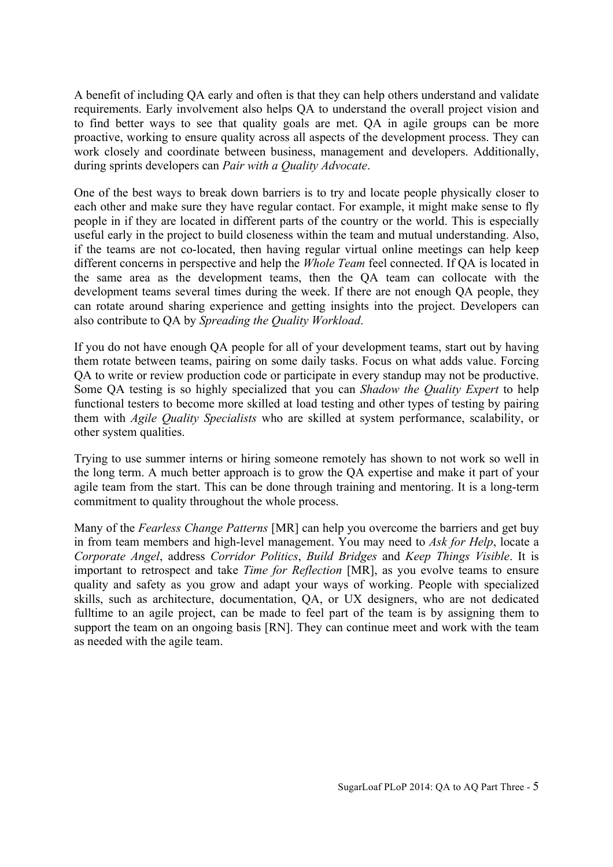A benefit of including QA early and often is that they can help others understand and validate requirements. Early involvement also helps QA to understand the overall project vision and to find better ways to see that quality goals are met. QA in agile groups can be more proactive, working to ensure quality across all aspects of the development process. They can work closely and coordinate between business, management and developers. Additionally, during sprints developers can *Pair with a Quality Advocate*.

One of the best ways to break down barriers is to try and locate people physically closer to each other and make sure they have regular contact. For example, it might make sense to fly people in if they are located in different parts of the country or the world. This is especially useful early in the project to build closeness within the team and mutual understanding. Also, if the teams are not co-located, then having regular virtual online meetings can help keep different concerns in perspective and help the *Whole Team* feel connected. If QA is located in the same area as the development teams, then the QA team can collocate with the development teams several times during the week. If there are not enough QA people, they can rotate around sharing experience and getting insights into the project. Developers can also contribute to QA by *Spreading the Quality Workload*.

If you do not have enough QA people for all of your development teams, start out by having them rotate between teams, pairing on some daily tasks. Focus on what adds value. Forcing QA to write or review production code or participate in every standup may not be productive. Some QA testing is so highly specialized that you can *Shadow the Quality Expert* to help functional testers to become more skilled at load testing and other types of testing by pairing them with *Agile Quality Specialists* who are skilled at system performance, scalability, or other system qualities.

Trying to use summer interns or hiring someone remotely has shown to not work so well in the long term. A much better approach is to grow the QA expertise and make it part of your agile team from the start. This can be done through training and mentoring. It is a long-term commitment to quality throughout the whole process.

Many of the *Fearless Change Patterns* [MR] can help you overcome the barriers and get buy in from team members and high-level management. You may need to *Ask for Help*, locate a *Corporate Angel*, address *Corridor Politics*, *Build Bridges* and *Keep Things Visible*. It is important to retrospect and take *Time for Reflection* [MR], as you evolve teams to ensure quality and safety as you grow and adapt your ways of working. People with specialized skills, such as architecture, documentation, QA, or UX designers, who are not dedicated fulltime to an agile project, can be made to feel part of the team is by assigning them to support the team on an ongoing basis [RN]. They can continue meet and work with the team as needed with the agile team.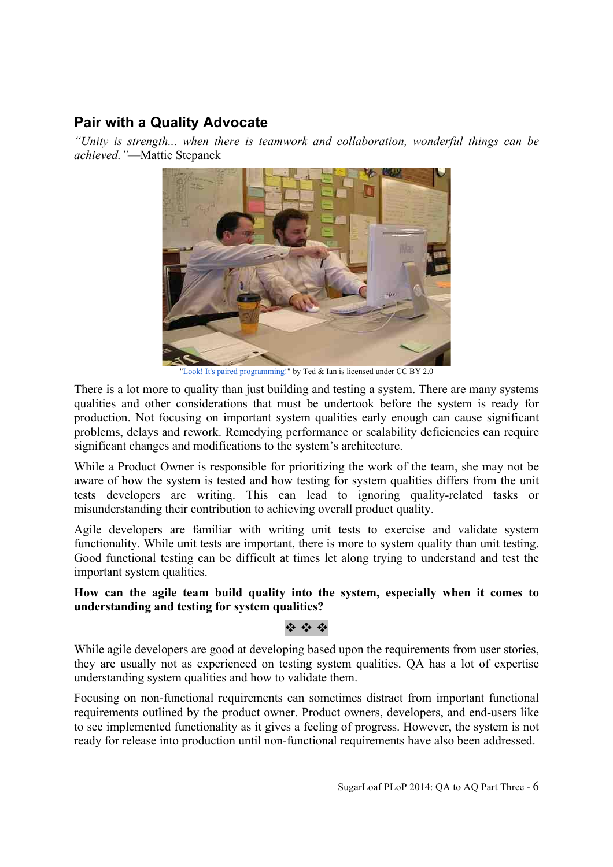## **Pair with a Quality Advocate**

*"Unity is strength... when there is teamwork and collaboration, wonderful things can be achieved."*—Mattie Stepanek



Look! It's paired programming!" by Ted & Ian is licensed under CC BY 2.0

There is a lot more to quality than just building and testing a system. There are many systems qualities and other considerations that must be undertook before the system is ready for production. Not focusing on important system qualities early enough can cause significant problems, delays and rework. Remedying performance or scalability deficiencies can require significant changes and modifications to the system's architecture.

While a Product Owner is responsible for prioritizing the work of the team, she may not be aware of how the system is tested and how testing for system qualities differs from the unit tests developers are writing. This can lead to ignoring quality-related tasks or misunderstanding their contribution to achieving overall product quality.

Agile developers are familiar with writing unit tests to exercise and validate system functionality. While unit tests are important, there is more to system quality than unit testing. Good functional testing can be difficult at times let along trying to understand and test the important system qualities.

#### **How can the agile team build quality into the system, especially when it comes to understanding and testing for system qualities?**

### $\mathcal{L} = \mathcal{L} = \mathcal{L}$

While agile developers are good at developing based upon the requirements from user stories, they are usually not as experienced on testing system qualities. QA has a lot of expertise understanding system qualities and how to validate them.

Focusing on non-functional requirements can sometimes distract from important functional requirements outlined by the product owner. Product owners, developers, and end-users like to see implemented functionality as it gives a feeling of progress. However, the system is not ready for release into production until non-functional requirements have also been addressed.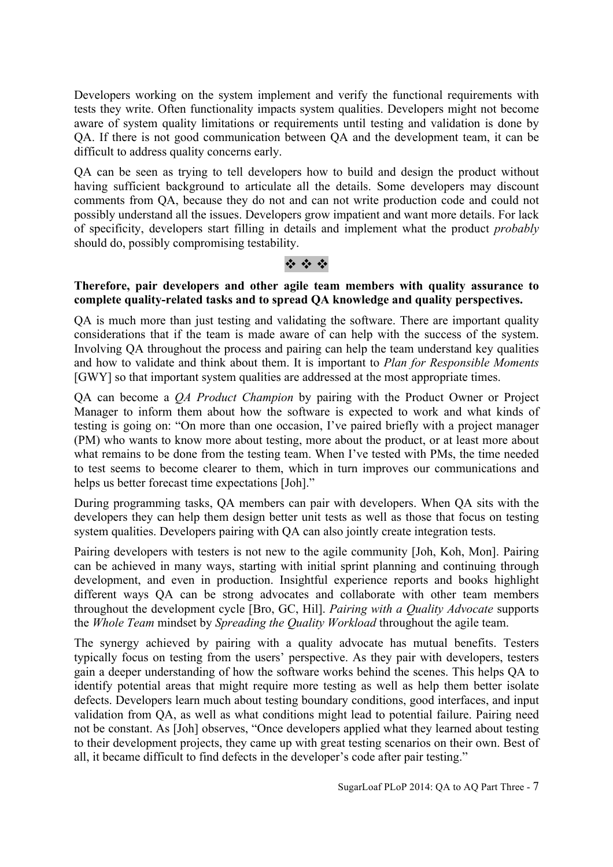Developers working on the system implement and verify the functional requirements with tests they write. Often functionality impacts system qualities. Developers might not become aware of system quality limitations or requirements until testing and validation is done by QA. If there is not good communication between QA and the development team, it can be difficult to address quality concerns early.

QA can be seen as trying to tell developers how to build and design the product without having sufficient background to articulate all the details. Some developers may discount comments from QA, because they do not and can not write production code and could not possibly understand all the issues. Developers grow impatient and want more details. For lack of specificity, developers start filling in details and implement what the product *probably* should do, possibly compromising testability.

### $29.49.49$

#### **Therefore, pair developers and other agile team members with quality assurance to complete quality-related tasks and to spread QA knowledge and quality perspectives.**

QA is much more than just testing and validating the software. There are important quality considerations that if the team is made aware of can help with the success of the system. Involving QA throughout the process and pairing can help the team understand key qualities and how to validate and think about them. It is important to *Plan for Responsible Moments* [GWY] so that important system qualities are addressed at the most appropriate times.

QA can become a *QA Product Champion* by pairing with the Product Owner or Project Manager to inform them about how the software is expected to work and what kinds of testing is going on: "On more than one occasion, I've paired briefly with a project manager (PM) who wants to know more about testing, more about the product, or at least more about what remains to be done from the testing team. When I've tested with PMs, the time needed to test seems to become clearer to them, which in turn improves our communications and helps us better forecast time expectations [Joh]."

During programming tasks, QA members can pair with developers. When QA sits with the developers they can help them design better unit tests as well as those that focus on testing system qualities. Developers pairing with QA can also jointly create integration tests.

Pairing developers with testers is not new to the agile community [Joh, Koh, Mon]. Pairing can be achieved in many ways, starting with initial sprint planning and continuing through development, and even in production. Insightful experience reports and books highlight different ways OA can be strong advocates and collaborate with other team members throughout the development cycle [Bro, GC, Hil]. *Pairing with a Quality Advocate* supports the *Whole Team* mindset by *Spreading the Quality Workload* throughout the agile team.

The synergy achieved by pairing with a quality advocate has mutual benefits. Testers typically focus on testing from the users' perspective. As they pair with developers, testers gain a deeper understanding of how the software works behind the scenes. This helps QA to identify potential areas that might require more testing as well as help them better isolate defects. Developers learn much about testing boundary conditions, good interfaces, and input validation from QA, as well as what conditions might lead to potential failure. Pairing need not be constant. As [Joh] observes, "Once developers applied what they learned about testing to their development projects, they came up with great testing scenarios on their own. Best of all, it became difficult to find defects in the developer's code after pair testing."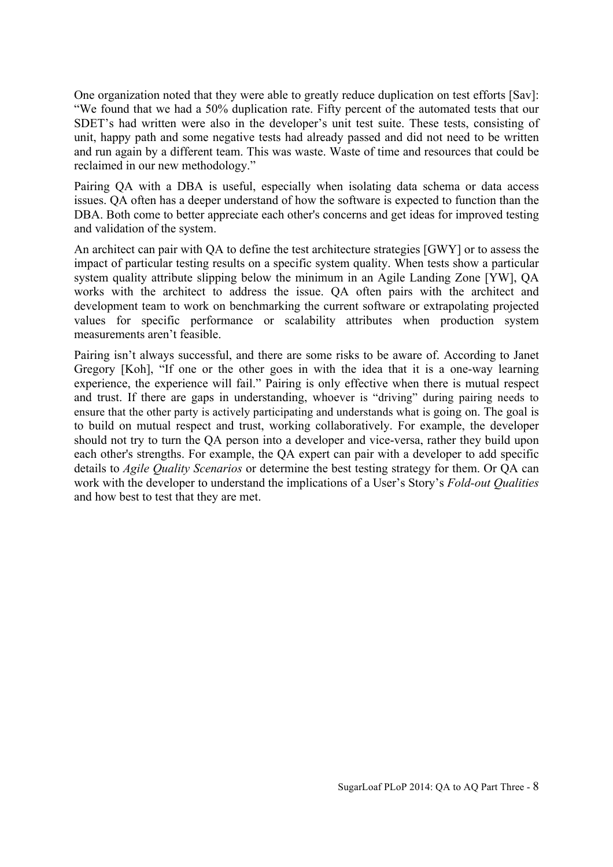One organization noted that they were able to greatly reduce duplication on test efforts [Sav]: "We found that we had a 50% duplication rate. Fifty percent of the automated tests that our SDET's had written were also in the developer's unit test suite. These tests, consisting of unit, happy path and some negative tests had already passed and did not need to be written and run again by a different team. This was waste. Waste of time and resources that could be reclaimed in our new methodology."

Pairing QA with a DBA is useful, especially when isolating data schema or data access issues. QA often has a deeper understand of how the software is expected to function than the DBA. Both come to better appreciate each other's concerns and get ideas for improved testing and validation of the system.

An architect can pair with QA to define the test architecture strategies [GWY] or to assess the impact of particular testing results on a specific system quality. When tests show a particular system quality attribute slipping below the minimum in an Agile Landing Zone [YW], QA works with the architect to address the issue. QA often pairs with the architect and development team to work on benchmarking the current software or extrapolating projected values for specific performance or scalability attributes when production system measurements aren't feasible.

Pairing isn't always successful, and there are some risks to be aware of. According to Janet Gregory [Koh], "If one or the other goes in with the idea that it is a one-way learning experience, the experience will fail." Pairing is only effective when there is mutual respect and trust. If there are gaps in understanding, whoever is "driving" during pairing needs to ensure that the other party is actively participating and understands what is going on. The goal is to build on mutual respect and trust, working collaboratively. For example, the developer should not try to turn the QA person into a developer and vice-versa, rather they build upon each other's strengths. For example, the QA expert can pair with a developer to add specific details to *Agile Quality Scenarios* or determine the best testing strategy for them. Or QA can work with the developer to understand the implications of a User's Story's *Fold-out Qualities* and how best to test that they are met.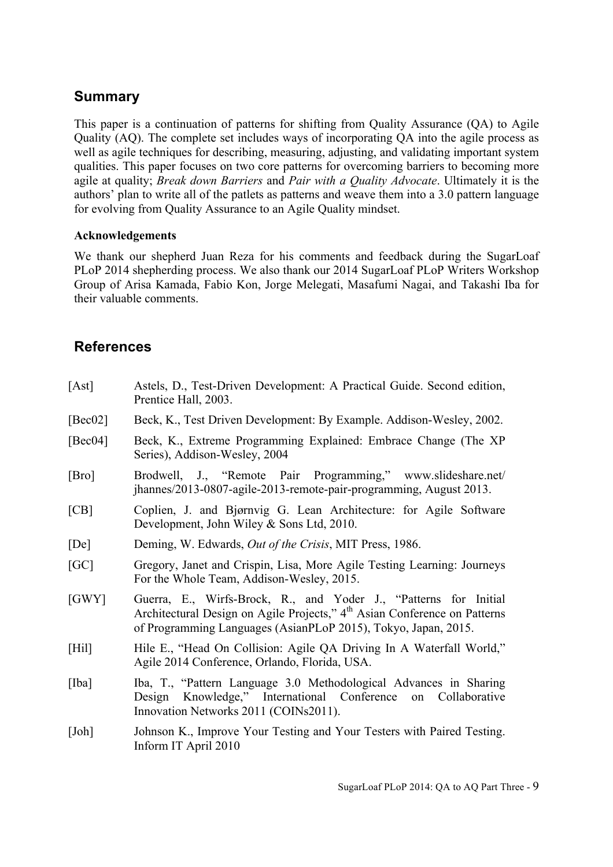## **Summary**

This paper is a continuation of patterns for shifting from Quality Assurance (QA) to Agile Quality (AQ). The complete set includes ways of incorporating QA into the agile process as well as agile techniques for describing, measuring, adjusting, and validating important system qualities. This paper focuses on two core patterns for overcoming barriers to becoming more agile at quality; *Break down Barriers* and *Pair with a Quality Advocate*. Ultimately it is the authors' plan to write all of the patlets as patterns and weave them into a 3.0 pattern language for evolving from Quality Assurance to an Agile Quality mindset.

#### **Acknowledgements**

We thank our shepherd Juan Reza for his comments and feedback during the SugarLoaf PLoP 2014 shepherding process. We also thank our 2014 SugarLoaf PLoP Writers Workshop Group of Arisa Kamada, Fabio Kon, Jorge Melegati, Masafumi Nagai, and Takashi Iba for their valuable comments.

## **References**

| [Ast]       | Astels, D., Test-Driven Development: A Practical Guide. Second edition,<br>Prentice Hall, 2003.                                                                                                                             |
|-------------|-----------------------------------------------------------------------------------------------------------------------------------------------------------------------------------------------------------------------------|
| [Bec02]     | Beck, K., Test Driven Development: By Example. Addison-Wesley, 2002.                                                                                                                                                        |
| [ $Bec04$ ] | Beck, K., Extreme Programming Explained: Embrace Change (The XP<br>Series), Addison-Wesley, 2004                                                                                                                            |
| [Bro]       | Brodwell, J., "Remote Pair Programming," www.slideshare.net/<br>jhannes/2013-0807-agile-2013-remote-pair-programming, August 2013.                                                                                          |
| [CB]        | Coplien, J. and Bjørnvig G. Lean Architecture: for Agile Software<br>Development, John Wiley & Sons Ltd, 2010.                                                                                                              |
| [De]        | Deming, W. Edwards, Out of the Crisis, MIT Press, 1986.                                                                                                                                                                     |
| [GC]        | Gregory, Janet and Crispin, Lisa, More Agile Testing Learning: Journeys<br>For the Whole Team, Addison-Wesley, 2015.                                                                                                        |
| [GWY]       | Guerra, E., Wirfs-Brock, R., and Yoder J., "Patterns for Initial<br>Architectural Design on Agile Projects," 4 <sup>th</sup> Asian Conference on Patterns<br>of Programming Languages (AsianPLoP 2015), Tokyo, Japan, 2015. |
| [Hi!]       | Hile E., "Head On Collision: Agile QA Driving In A Waterfall World,"<br>Agile 2014 Conference, Orlando, Florida, USA.                                                                                                       |
| [Iba]       | Iba, T., "Pattern Language 3.0 Methodological Advances in Sharing<br>Design Knowledge," International Conference<br>on Collaborative<br>Innovation Networks 2011 (COINs2011).                                               |
| [John]      | Johnson K., Improve Your Testing and Your Testers with Paired Testing.<br>Inform IT April 2010                                                                                                                              |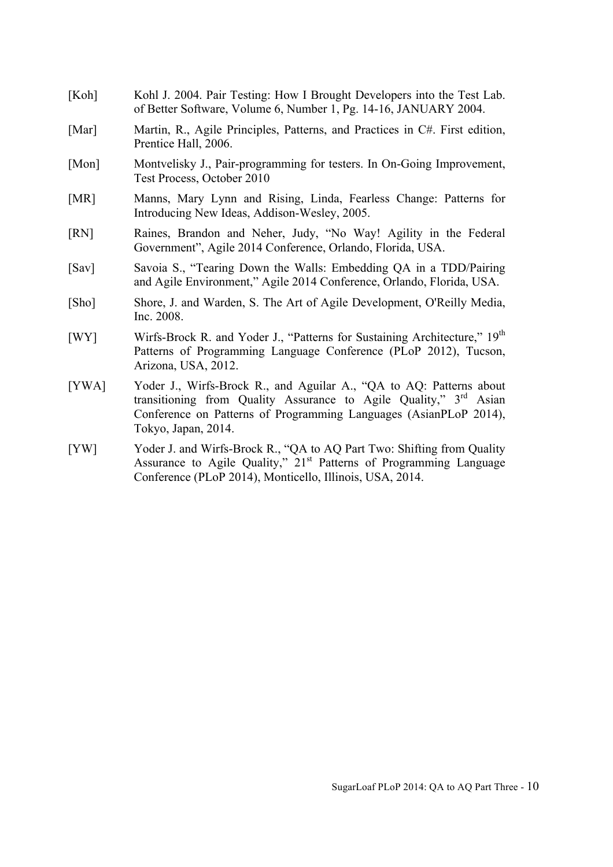of Better Software, Volume 6, Number 1, Pg. 14-16, JANUARY 2004. [Mar] Martin, R., Agile Principles, Patterns, and Practices in C#. First edition, Prentice Hall, 2006. [Mon] Montvelisky J., Pair-programming for testers. In On-Going Improvement, Test Process, October 2010 [MR] Manns, Mary Lynn and Rising, Linda, Fearless Change: Patterns for Introducing New Ideas, Addison-Wesley, 2005. [RN] Raines, Brandon and Neher, Judy, "No Way! Agility in the Federal Government", Agile 2014 Conference, Orlando, Florida, USA. [Sav] Savoia S., "Tearing Down the Walls: Embedding QA in a TDD/Pairing and Agile Environment," Agile 2014 Conference, Orlando, Florida, USA. [Sho] Shore, J. and Warden, S. The Art of Agile Development, O'Reilly Media, Inc. 2008. [WY] Wirfs-Brock R. and Yoder J., "Patterns for Sustaining Architecture," 19<sup>th</sup> Patterns of Programming Language Conference (PLoP 2012), Tucson, Arizona, USA, 2012. [YWA] Yoder J., Wirfs-Brock R., and Aguilar A., "QA to AQ: Patterns about transitioning from Quality Assurance to Agile Quality," 3<sup>rd</sup> Asian Conference on Patterns of Programming Languages (AsianPLoP 2014), Tokyo, Japan, 2014. [YW] Yoder J. and Wirfs-Brock R., "QA to AQ Part Two: Shifting from Quality Assurance to Agile Quality," 21<sup>st</sup> Patterns of Programming Language Conference (PLoP 2014), Monticello, Illinois, USA, 2014.

[Koh] Kohl J. 2004. Pair Testing: How I Brought Developers into the Test Lab.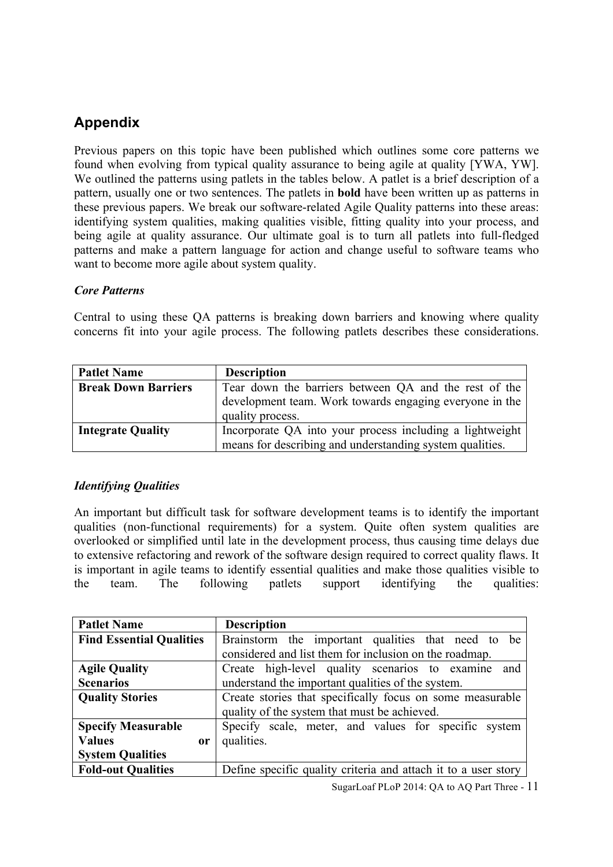## **Appendix**

Previous papers on this topic have been published which outlines some core patterns we found when evolving from typical quality assurance to being agile at quality [YWA, YW]. We outlined the patterns using patlets in the tables below. A patlet is a brief description of a pattern, usually one or two sentences. The patlets in **bold** have been written up as patterns in these previous papers. We break our software-related Agile Quality patterns into these areas: identifying system qualities, making qualities visible, fitting quality into your process, and being agile at quality assurance. Our ultimate goal is to turn all patlets into full-fledged patterns and make a pattern language for action and change useful to software teams who want to become more agile about system quality.

### *Core Patterns*

Central to using these QA patterns is breaking down barriers and knowing where quality concerns fit into your agile process. The following patlets describes these considerations.

| <b>Patlet Name</b>         | <b>Description</b>                                       |
|----------------------------|----------------------------------------------------------|
| <b>Break Down Barriers</b> | Tear down the barriers between QA and the rest of the    |
|                            | development team. Work towards engaging everyone in the  |
|                            | quality process.                                         |
| <b>Integrate Quality</b>   | Incorporate QA into your process including a lightweight |
|                            | means for describing and understanding system qualities. |

### *Identifying Qualities*

An important but difficult task for software development teams is to identify the important qualities (non-functional requirements) for a system. Quite often system qualities are overlooked or simplified until late in the development process, thus causing time delays due to extensive refactoring and rework of the software design required to correct quality flaws. It is important in agile teams to identify essential qualities and make those qualities visible to the team. The following patlets support identifying the qualities:

| <b>Patlet Name</b>              | <b>Description</b>                                             |
|---------------------------------|----------------------------------------------------------------|
| <b>Find Essential Qualities</b> | Brainstorm the important qualities that need to<br>be          |
|                                 | considered and list them for inclusion on the roadmap.         |
| <b>Agile Quality</b>            | Create high-level quality scenarios to examine<br>and          |
| <b>Scenarios</b>                | understand the important qualities of the system.              |
| <b>Quality Stories</b>          | Create stories that specifically focus on some measurable      |
|                                 | quality of the system that must be achieved.                   |
| <b>Specify Measurable</b>       | Specify scale, meter, and values for specific system           |
| <b>Values</b><br><sub>or</sub>  | qualities.                                                     |
| <b>System Qualities</b>         |                                                                |
| <b>Fold-out Qualities</b>       | Define specific quality criteria and attach it to a user story |

SugarLoaf PLoP 2014: QA to AQ Part Three - 11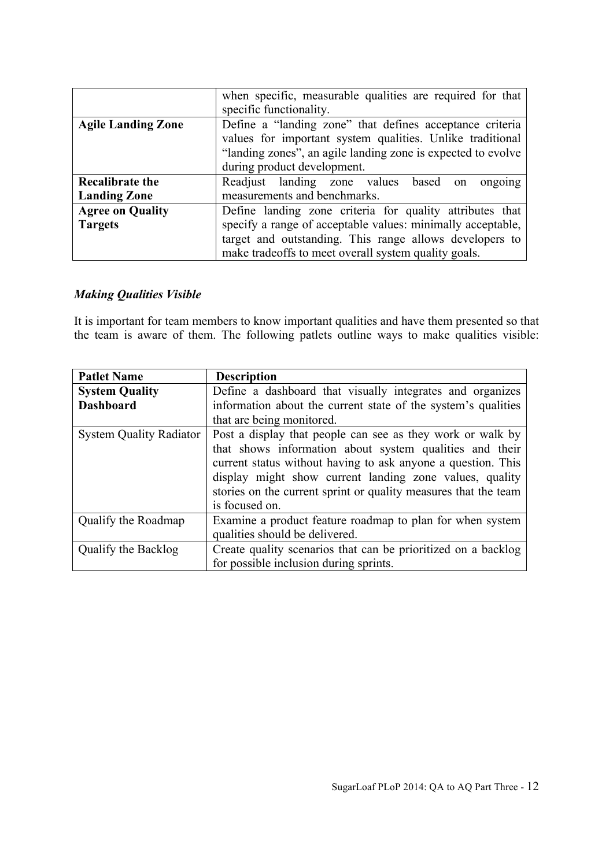|                                               | when specific, measurable qualities are required for that<br>specific functionality.                                                                                                                                                       |
|-----------------------------------------------|--------------------------------------------------------------------------------------------------------------------------------------------------------------------------------------------------------------------------------------------|
| <b>Agile Landing Zone</b>                     | Define a "landing zone" that defines acceptance criteria<br>values for important system qualities. Unlike traditional<br>"landing zones", an agile landing zone is expected to evolve<br>during product development.                       |
| <b>Recalibrate the</b><br><b>Landing Zone</b> | Readjust landing zone values based<br>ongoing<br><sub>on</sub><br>measurements and benchmarks.                                                                                                                                             |
| <b>Agree on Quality</b><br><b>Targets</b>     | Define landing zone criteria for quality attributes that<br>specify a range of acceptable values: minimally acceptable,<br>target and outstanding. This range allows developers to<br>make tradeoffs to meet overall system quality goals. |

### *Making Qualities Visible*

It is important for team members to know important qualities and have them presented so that the team is aware of them. The following patlets outline ways to make qualities visible:

| <b>Patlet Name</b>             | <b>Description</b>                                              |
|--------------------------------|-----------------------------------------------------------------|
| <b>System Quality</b>          | Define a dashboard that visually integrates and organizes       |
| <b>Dashboard</b>               | information about the current state of the system's qualities   |
|                                | that are being monitored.                                       |
| <b>System Quality Radiator</b> | Post a display that people can see as they work or walk by      |
|                                | that shows information about system qualities and their         |
|                                | current status without having to ask anyone a question. This    |
|                                | display might show current landing zone values, quality         |
|                                | stories on the current sprint or quality measures that the team |
|                                | is focused on.                                                  |
| Qualify the Roadmap            | Examine a product feature roadmap to plan for when system       |
|                                | qualities should be delivered.                                  |
| Qualify the Backlog            | Create quality scenarios that can be prioritized on a backlog   |
|                                | for possible inclusion during sprints.                          |